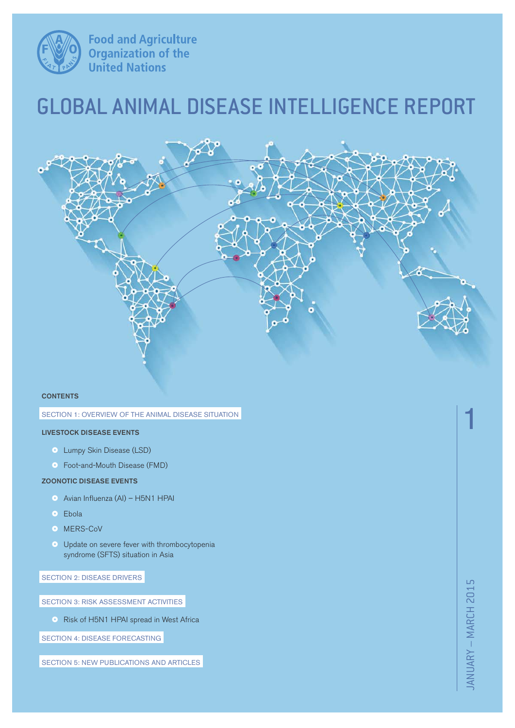

**Food and Agriculture<br>Organization of the<br>United Nations** 

# GLOBAL ANIMAL DISEASE INTELLIGENCE REPORT



#### **CONTENTS**

#### SECTION 1: OVERVIEW OF THE ANIMAL DISEASE SITUATION

### **LIVESTOCK DISEASE EVENTS**

- Lumpy Skin Disease (LSD)
- ~ Foot-and-Mouth Disease (FMD)

### **ZOONOTIC DISEASE EVENTS**

- ~ Avian Influenza (AI) H5N1 HPAI
- Ebola
- MERS-CoV
- ~ Update on severe fever with thrombocytopenia syndrome (SFTS) situation in Asia

SECTION 2: DISEASE DRIVERS

SECTION 3: RISK ASSESSMENT ACTIVITIES

• Risk of H5N1 HPAI spread in West Africa

SECTION 4: DISEASE FORECASTING

SECTION 5: NEW PUBLICATIONS AND ARTICLES

JANUARY – MARCH 2015 JANUARY - MARCH 2015

1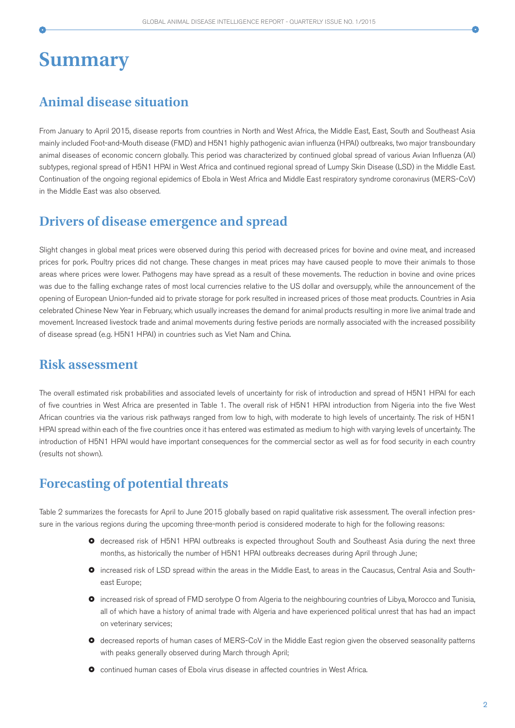# **Summary**

## **Animal disease situation**

From January to April 2015, disease reports from countries in North and West Africa, the Middle East, East, South and Southeast Asia mainly included Foot-and-Mouth disease (FMD) and H5N1 highly pathogenic avian influenza (HPAI) outbreaks, two major transboundary animal diseases of economic concern globally. This period was characterized by continued global spread of various Avian Influenza (AI) subtypes, regional spread of H5N1 HPAI in West Africa and continued regional spread of Lumpy Skin Disease (LSD) in the Middle East. Continuation of the ongoing regional epidemics of Ebola in West Africa and Middle East respiratory syndrome coronavirus (MERS-CoV) in the Middle East was also observed.

## **Drivers of disease emergence and spread**

Slight changes in global meat prices were observed during this period with decreased prices for bovine and ovine meat, and increased prices for pork. Poultry prices did not change. These changes in meat prices may have caused people to move their animals to those areas where prices were lower. Pathogens may have spread as a result of these movements. The reduction in bovine and ovine prices was due to the falling exchange rates of most local currencies relative to the US dollar and oversupply, while the announcement of the opening of European Union-funded aid to private storage for pork resulted in increased prices of those meat products. Countries in Asia celebrated Chinese New Year in February, which usually increases the demand for animal products resulting in more live animal trade and movement. Increased livestock trade and animal movements during festive periods are normally associated with the increased possibility of disease spread (e.g. H5N1 HPAI) in countries such as Viet Nam and China.

## **Risk assessment**

The overall estimated risk probabilities and associated levels of uncertainty for risk of introduction and spread of H5N1 HPAI for each of five countries in West Africa are presented in Table 1. The overall risk of H5N1 HPAI introduction from Nigeria into the five West African countries via the various risk pathways ranged from low to high, with moderate to high levels of uncertainty. The risk of H5N1 HPAI spread within each of the five countries once it has entered was estimated as medium to high with varying levels of uncertainty. The introduction of H5N1 HPAI would have important consequences for the commercial sector as well as for food security in each country (results not shown).

# **Forecasting of potential threats**

Table 2 summarizes the forecasts for April to June 2015 globally based on rapid qualitative risk assessment. The overall infection pressure in the various regions during the upcoming three-month period is considered moderate to high for the following reasons:

- $\bullet$  decreased risk of H5N1 HPAI outbreaks is expected throughout South and Southeast Asia during the next three months, as historically the number of H5N1 HPAI outbreaks decreases during April through June;
- ~ increased risk of LSD spread within the areas in the Middle East, to areas in the Caucasus, Central Asia and Southeast Europe;
- ~ increased risk of spread of FMD serotype O from Algeria to the neighbouring countries of Libya, Morocco and Tunisia, all of which have a history of animal trade with Algeria and have experienced political unrest that has had an impact on veterinary services;
- ~ decreased reports of human cases of MERS-CoV in the Middle East region given the observed seasonality patterns with peaks generally observed during March through April;
- ~ continued human cases of Ebola virus disease in affected countries in West Africa.

2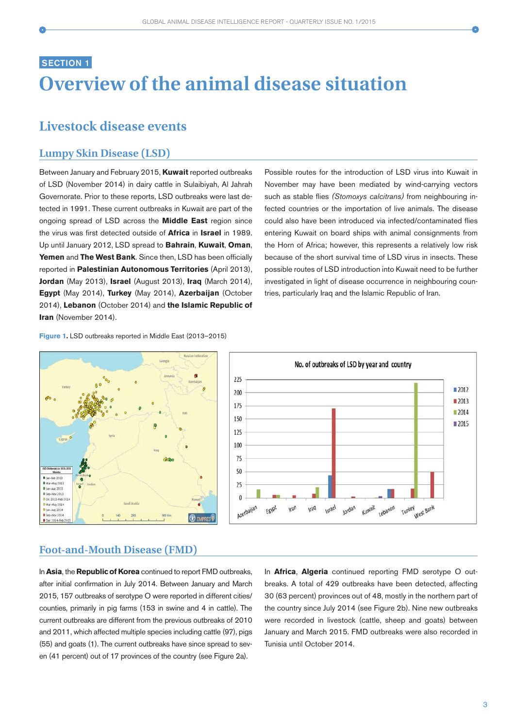# **SECTION 1 Overview of the animal disease situation**

## **Livestock disease events**

## **Lumpy Skin Disease (LSD)**

Between January and February 2015, **Kuwait** reported outbreaks of LSD (November 2014) in dairy cattle in Sulaibiyah, Al Jahrah Governorate. Prior to these reports, LSD outbreaks were last detected in 1991. These current outbreaks in Kuwait are part of the ongoing spread of LSD across the **Middle East** region since the virus was first detected outside of **Africa** in **Israel** in 1989. Up until January 2012, LSD spread to **Bahrain**, **Kuwait**, **Oman**, **Yemen** and **The West Bank**. Since then, LSD has been officially reported in **Palestinian Autonomous Territories** (April 2013), **Jordan** (May 2013), **Israel** (August 2013), **Iraq** (March 2014), **Egypt** (May 2014), **Turkey** (May 2014), **Azerbaijan** (October 2014), **Lebanon** (October 2014) and **the Islamic Republic of Iran** (November 2014).

Possible routes for the introduction of LSD virus into Kuwait in November may have been mediated by wind-carrying vectors such as stable flies (Stomoxys calcitrans) from neighbouring infected countries or the importation of live animals. The disease could also have been introduced via infected/contaminated flies entering Kuwait on board ships with animal consignments from the Horn of Africa; however, this represents a relatively low risk because of the short survival time of LSD virus in insects. These possible routes of LSD introduction into Kuwait need to be further investigated in light of disease occurrence in neighbouring countries, particularly Iraq and the Islamic Republic of Iran.

#### **Figure 1**. LSD outbreaks reported in Middle East (2013–2015)



### **Foot-and-Mouth Disease (FMD)**

In **Asia**, the **Republic of Korea** continued to report FMD outbreaks, after initial confirmation in July 2014. Between January and March 2015, 157 outbreaks of serotype O were reported in different cities/ counties, primarily in pig farms (153 in swine and 4 in cattle). The current outbreaks are different from the previous outbreaks of 2010 and 2011, which affected multiple species including cattle (97), pigs (55) and goats (1). The current outbreaks have since spread to seven (41 percent) out of 17 provinces of the country (see Figure 2a).

In **Africa**, **Algeria** continued reporting FMD serotype O outbreaks. A total of 429 outbreaks have been detected, affecting 30 (63 percent) provinces out of 48, mostly in the northern part of the country since July 2014 (see Figure 2b). Nine new outbreaks were recorded in livestock (cattle, sheep and goats) between January and March 2015. FMD outbreaks were also recorded in Tunisia until October 2014.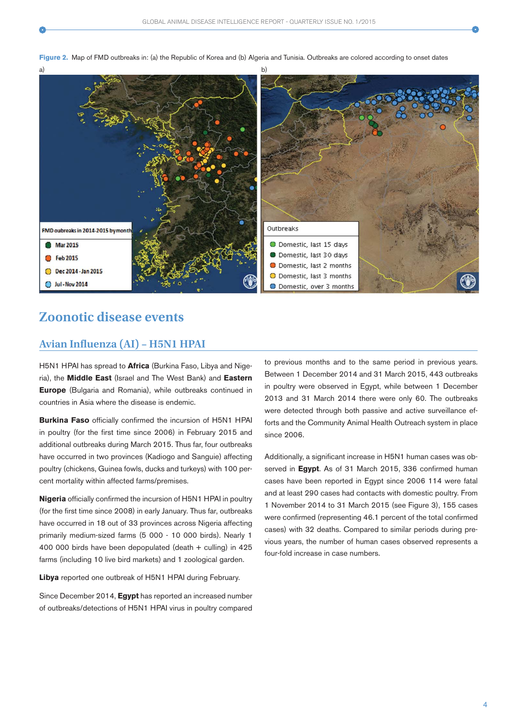

O Domestic, last 2 months

O Domestic, last 3 months

O Domestic, over 3 months

## **Zoonotic disease events**

Dec 2014 - Jan 2015

Jul - Nov 2014

### **Avian Influenza (AI) – H5N1 HPAI**

H5N1 HPAI has spread to **Africa** (Burkina Faso, Libya and Nigeria), the **Middle East** (Israel and The West Bank) and **Eastern Europe** (Bulgaria and Romania), while outbreaks continued in countries in Asia where the disease is endemic.

**Burkina Faso** officially confirmed the incursion of H5N1 HPAI in poultry (for the first time since 2006) in February 2015 and additional outbreaks during March 2015. Thus far, four outbreaks have occurred in two provinces (Kadiogo and Sanguie) affecting poultry (chickens, Guinea fowls, ducks and turkeys) with 100 percent mortality within affected farms/premises.

**Nigeria** officially confirmed the incursion of H5N1 HPAI in poultry (for the first time since 2008) in early January. Thus far, outbreaks have occurred in 18 out of 33 provinces across Nigeria affecting primarily medium-sized farms (5 000 - 10 000 birds). Nearly 1 400 000 birds have been depopulated (death + culling) in 425 farms (including 10 live bird markets) and 1 zoological garden.

**Libya** reported one outbreak of H5N1 HPAI during February.

Since December 2014, **Egypt** has reported an increased number of outbreaks/detections of H5N1 HPAI virus in poultry compared

to previous months and to the same period in previous years. Between 1 December 2014 and 31 March 2015, 443 outbreaks in poultry were observed in Egypt, while between 1 December 2013 and 31 March 2014 there were only 60. The outbreaks were detected through both passive and active surveillance efforts and the Community Animal Health Outreach system in place since 2006.

Additionally, a significant increase in H5N1 human cases was observed in **Egypt**. As of 31 March 2015, 336 confirmed human cases have been reported in Egypt since 2006 114 were fatal and at least 290 cases had contacts with domestic poultry. From 1 November 2014 to 31 March 2015 (see Figure 3), 155 cases were confirmed (representing 46.1 percent of the total confirmed cases) with 32 deaths. Compared to similar periods during previous years, the number of human cases observed represents a four-fold increase in case numbers.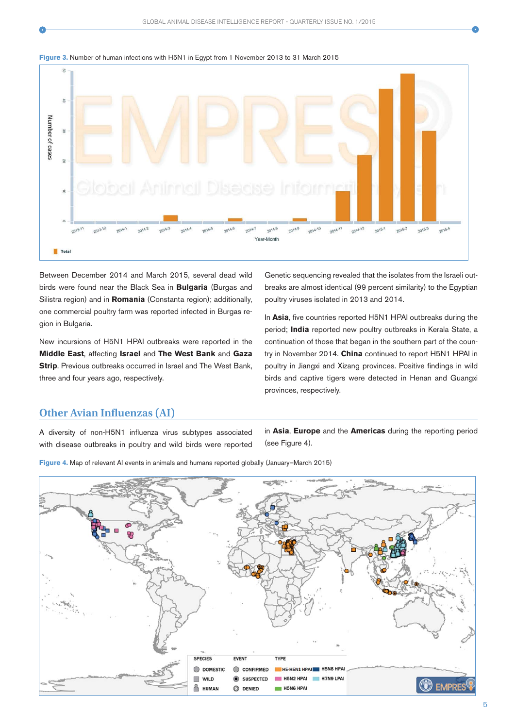





Between December 2014 and March 2015, several dead wild birds were found near the Black Sea in **Bulgaria** (Burgas and Silistra region) and in **Romania** (Constanta region); additionally, one commercial poultry farm was reported infected in Burgas region in Bulgaria.

New incursions of H5N1 HPAI outbreaks were reported in the **Middle East**, affecting **Israel** and **The West Bank** and **Gaza Strip**. Previous outbreaks occurred in Israel and The West Bank, three and four years ago, respectively.

Genetic sequencing revealed that the isolates from the Israeli outbreaks are almost identical (99 percent similarity) to the Egyptian poultry viruses isolated in 2013 and 2014.

In **Asia**, five countries reported H5N1 HPAI outbreaks during the period; **India** reported new poultry outbreaks in Kerala State, a continuation of those that began in the southern part of the country in November 2014. **China** continued to report H5N1 HPAI in poultry in Jiangxi and Xizang provinces. Positive findings in wild birds and captive tigers were detected in Henan and Guangxi provinces, respectively.

## **Other Avian Influenzas (AI)**

A diversity of non-H5N1 influenza virus subtypes associated with disease outbreaks in poultry and wild birds were reported in **Asia**, **Europe** and the **Americas** during the reporting period (see Figure 4).

**Figure 4.** Map of relevant AI events in animals and humans reported globally (January–March 2015)

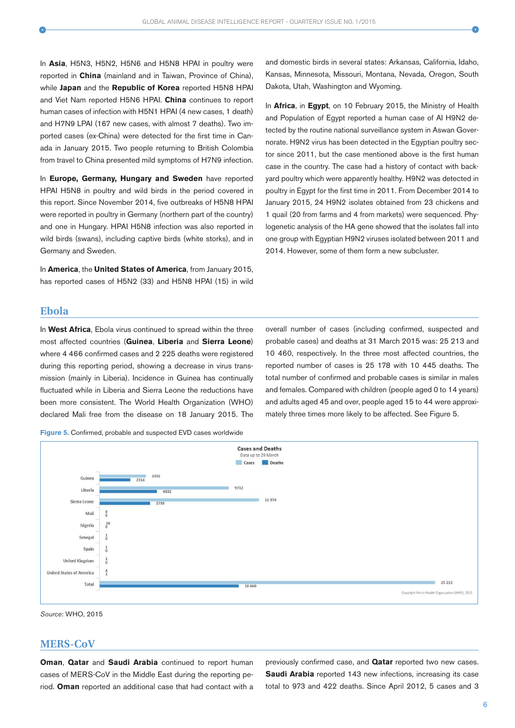In **Asia**, H5N3, H5N2, H5N6 and H5N8 HPAI in poultry were reported in **China** (mainland and in Taiwan, Province of China), while **Japan** and the **Republic of Korea** reported H5N8 HPAI and Viet Nam reported H5N6 HPAI. **China** continues to report human cases of infection with H5N1 HPAI (4 new cases, 1 death) and H7N9 LPAI (167 new cases, with almost 7 deaths). Two imported cases (ex-China) were detected for the first time in Canada in January 2015. Two people returning to British Colombia from travel to China presented mild symptoms of H7N9 infection.

In **Europe, Germany, Hungary and Sweden** have reported HPAI H5N8 in poultry and wild birds in the period covered in this report. Since November 2014, five outbreaks of H5N8 HPAI were reported in poultry in Germany (northern part of the country) and one in Hungary. HPAI H5N8 infection was also reported in wild birds (swans), including captive birds (white storks), and in Germany and Sweden.

In **America**, the **United States of America**, from January 2015, has reported cases of H5N2 (33) and H5N8 HPAI (15) in wild

and domestic birds in several states: Arkansas, California, Idaho, Kansas, Minnesota, Missouri, Montana, Nevada, Oregon, South Dakota, Utah, Washington and Wyoming.

In **Africa**, in **Egypt**, on 10 February 2015, the Ministry of Health and Population of Egypt reported a human case of AI H9N2 detected by the routine national surveillance system in Aswan Governorate. H9N2 virus has been detected in the Egyptian poultry sector since 2011, but the case mentioned above is the first human case in the country. The case had a history of contact with backyard poultry which were apparently healthy. H9N2 was detected in poultry in Egypt for the first time in 2011. From December 2014 to January 2015, 24 H9N2 isolates obtained from 23 chickens and 1 quail (20 from farms and 4 from markets) were sequenced. Phylogenetic analysis of the HA gene showed that the isolates fall into one group with Egyptian H9N2 viruses isolated between 2011 and 2014. However, some of them form a new subcluster.

overall number of cases (including confirmed, suspected and probable cases) and deaths at 31 March 2015 was: 25 213 and 10 460, respectively. In the three most affected countries, the reported number of cases is 25 178 with 10 445 deaths. The total number of confirmed and probable cases is similar in males and females. Compared with children (people aged 0 to 14 years) and adults aged 45 and over, people aged 15 to 44 were approximately three times more likely to be affected. See Figure 5.

### **Ebola**

In **West Africa**, Ebola virus continued to spread within the three most affected countries (**Guinea**, **Liberia** and **Sierra Leone**) where 4 466 confirmed cases and 2 225 deaths were registered during this reporting period, showing a decrease in virus transmission (mainly in Liberia). Incidence in Guinea has continually fluctuated while in Liberia and Sierra Leone the reductions have been more consistent. The World Health Organization (WHO) declared Mali free from the disease on 18 January 2015. The

**Figure 5.** Confirmed, probable and suspected EVD cases worldwide

**Cases and Deaths** Data up to 29 Marc Cases Death 3492 Guinea 2314 9712 Liberia 4332 11974 Sierra Leone Mali  $n \infty$  $\frac{20}{8}$ Nigeria Senegal  $\frac{1}{2}$ Spain **United Kingdom United States of America**  $\frac{4}{1}$  $25213$ Total 10.460 Copyright World Health Organization (WHO), 2015

Source: WHO, 2015

### **MERS-CoV**

**Oman**, **Qatar** and **Saudi Arabia** continued to report human cases of MERS-CoV in the Middle East during the reporting period. **Oman** reported an additional case that had contact with a

previously confirmed case, and **Qatar** reported two new cases. **Saudi Arabia** reported 143 new infections, increasing its case total to 973 and 422 deaths. Since April 2012, 5 cases and 3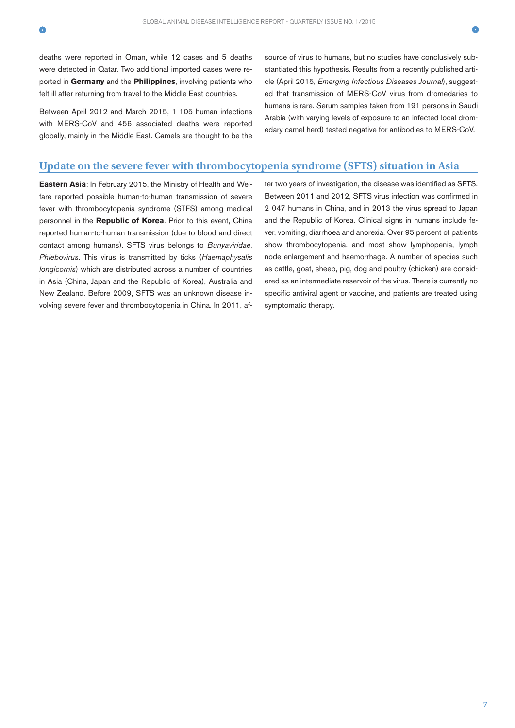deaths were reported in Oman, while 12 cases and 5 deaths were detected in Qatar. Two additional imported cases were reported in **Germany** and the **Philippines**, involving patients who felt ill after returning from travel to the Middle East countries.

Between April 2012 and March 2015, 1 105 human infections with MERS-CoV and 456 associated deaths were reported globally, mainly in the Middle East. Camels are thought to be the source of virus to humans, but no studies have conclusively substantiated this hypothesis. Results from a recently published article (April 2015, Emerging Infectious Diseases Journal), suggested that transmission of MERS-CoV virus from dromedaries to humans is rare. Serum samples taken from 191 persons in Saudi Arabia (with varying levels of exposure to an infected local dromedary camel herd) tested negative for antibodies to MERS-CoV.

### **Update on the severe fever with thrombocytopenia syndrome (SFTS) situation in Asia**

**Eastern Asia**: In February 2015, the Ministry of Health and Welfare reported possible human-to-human transmission of severe fever with thrombocytopenia syndrome (STFS) among medical personnel in the **Republic of Korea**. Prior to this event, China reported human-to-human transmission (due to blood and direct contact among humans). SFTS virus belongs to Bunyaviridae, Phlebovirus. This virus is transmitted by ticks (Haemaphysalis longicornis) which are distributed across a number of countries in Asia (China, Japan and the Republic of Korea), Australia and New Zealand. Before 2009, SFTS was an unknown disease involving severe fever and thrombocytopenia in China. In 2011, after two years of investigation, the disease was identified as SFTS. Between 2011 and 2012, SFTS virus infection was confirmed in 2 047 humans in China, and in 2013 the virus spread to Japan and the Republic of Korea. Clinical signs in humans include fever, vomiting, diarrhoea and anorexia. Over 95 percent of patients show thrombocytopenia, and most show lymphopenia, lymph node enlargement and haemorrhage. A number of species such as cattle, goat, sheep, pig, dog and poultry (chicken) are considered as an intermediate reservoir of the virus. There is currently no specific antiviral agent or vaccine, and patients are treated using symptomatic therapy.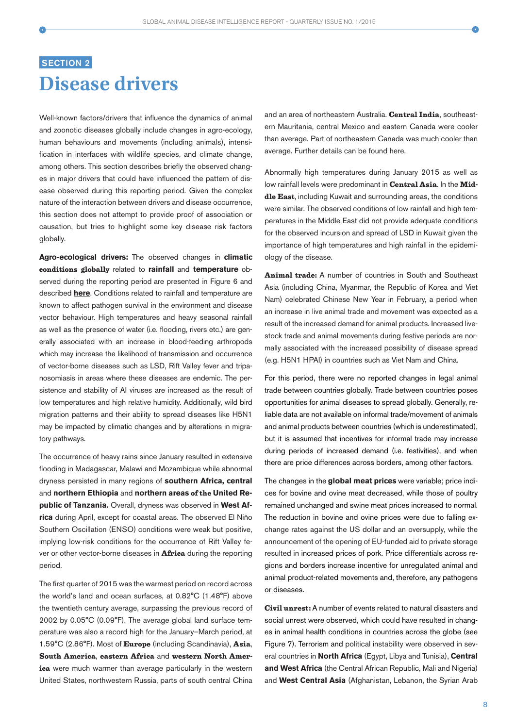# **SECTION 2 Disease drivers**

Well-known factors/drivers that influence the dynamics of animal and zoonotic diseases globally include changes in agro-ecology, human behaviours and movements (including animals), intensification in interfaces with wildlife species, and climate change, among others. This section describes briefly the observed changes in major drivers that could have influenced the pattern of disease observed during this reporting period. Given the complex nature of the interaction between drivers and disease occurrence, this section does not attempt to provide proof of association or causation, but tries to highlight some key disease risk factors globally.

**Agro-ecological drivers:** The observed changes in **climatic** conditions globally related to **rainfall** and **temperature** observed during the reporting period are presented in Figure 6 and described **here**. Conditions related to rainfall and temperature are known to affect pathogen survival in the environment and disease vector behaviour. High temperatures and heavy seasonal rainfall as well as the presence of water (i.e. flooding, rivers etc.) are generally associated with an increase in blood-feeding arthropods which may increase the likelihood of transmission and occurrence of vector-borne diseases such as LSD, Rift Valley fever and tripanosomiasis in areas where these diseases are endemic. The persistence and stability of AI viruses are increased as the result of low temperatures and high relative humidity. Additionally, wild bird migration patterns and their ability to spread diseases like H5N1 may be impacted by climatic changes and by alterations in migratory pathways.

The occurrence of heavy rains since January resulted in extensive flooding in Madagascar, Malawi and Mozambique while abnormal dryness persisted in many regions of **southern Africa, central** and **northern Ethiopia** and **northern areas** of the **United Republic of Tanzania**. Overall, dryness was observed in **West Africa** during April, except for coastal areas. The observed El Niño Southern Oscillation (ENSO) conditions were weak but positive, implying low-risk conditions for the occurrence of Rift Valley fever or other vector-borne diseases in **Africa** during the reporting period.

The first quarter of 2015 was the warmest period on record across the world's land and ocean surfaces, at 0.82°C (1.48°F) above the twentieth century average, surpassing the previous record of 2002 by 0.05°C (0.09°F). The average global land surface temperature was also a record high for the January–March period, at 1.59°C (2.86°F). Most of Europe (including Scandinavia), Asia, South America, eastern Africa and western North America were much warmer than average particularly in the western United States, northwestern Russia, parts of south central China

and an area of northeastern Australia. Central India, southeastern Mauritania, central Mexico and eastern Canada were cooler than average. Part of northeastern Canada was much cooler than average. Further details can be found here.

Abnormally high temperatures during January 2015 as well as low rainfall levels were predominant in Central Asia. In the Middle East, including Kuwait and surrounding areas, the conditions were similar. The observed conditions of low rainfall and high temperatures in the Middle East did not provide adequate conditions for the observed incursion and spread of LSD in Kuwait given the importance of high temperatures and high rainfall in the epidemiology of the disease.

Animal trade: A number of countries in South and Southeast Asia (including China, Myanmar, the Republic of Korea and Viet Nam) celebrated Chinese New Year in February, a period when an increase in live animal trade and movement was expected as a result of the increased demand for animal products. Increased livestock trade and animal movements during festive periods are normally associated with the increased possibility of disease spread (e.g. H5N1 HPAI) in countries such as Viet Nam and China.

For this period, there were no reported changes in legal animal trade between countries globally. Trade between countries poses opportunities for animal diseases to spread globally. Generally, reliable data are not available on informal trade/movement of animals and animal products between countries (which is underestimated), but it is assumed that incentives for informal trade may increase during periods of increased demand (i.e. festivities), and when there are price differences across borders, among other factors.

The changes in the **global meat prices** were variable; price indices for bovine and ovine meat decreased, while those of poultry remained unchanged and swine meat prices increased to normal. The reduction in bovine and ovine prices were due to falling exchange rates against the US dollar and an oversupply, while the announcement of the opening of EU-funded aid to private storage resulted in increased prices of pork. Price differentials across regions and borders increase incentive for unregulated animal and animal product-related movements and, therefore, any pathogens or diseases.

Civil unrest: A number of events related to natural disasters and social unrest were observed, which could have resulted in changes in animal health conditions in countries across the globe (see Figure 7). Terrorism and political instability were observed in several countries in **North Africa** (Egypt, Libya and Tunisia), **Central and West Africa** (the Central African Republic, Mali and Nigeria) and **West Central Asia** (Afghanistan, Lebanon, the Syrian Arab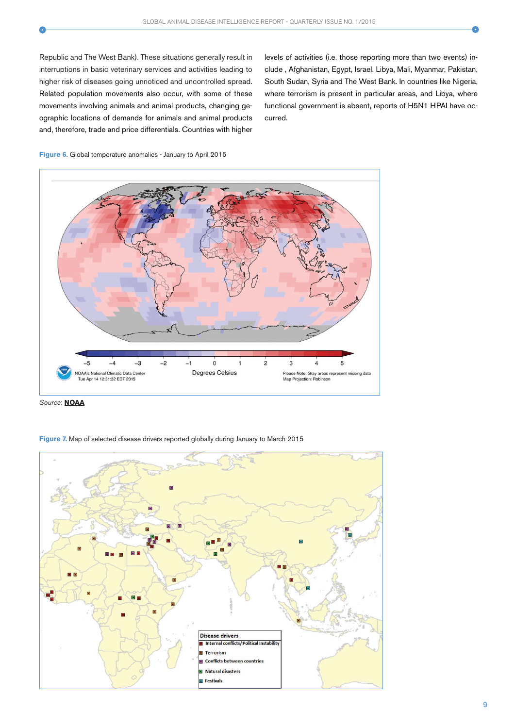Republic and The West Bank). These situations generally result in interruptions in basic veterinary services and activities leading to higher risk of diseases going unnoticed and uncontrolled spread. Related population movements also occur, with some of these movements involving animals and animal products, changing geographic locations of demands for animals and animal products and, therefore, trade and price differentials. Countries with higher

levels of activities (i.e. those reporting more than two events) include , Afghanistan, Egypt, Israel, Libya, Mali, Myanmar, Pakistan, South Sudan, Syria and The West Bank. In countries like Nigeria, where terrorism is present in particular areas, and Libya, where functional government is absent, reports of H5N1 HPAI have occurred.







**Figure 7.** Map of selected disease drivers reported globally during January to March 2015

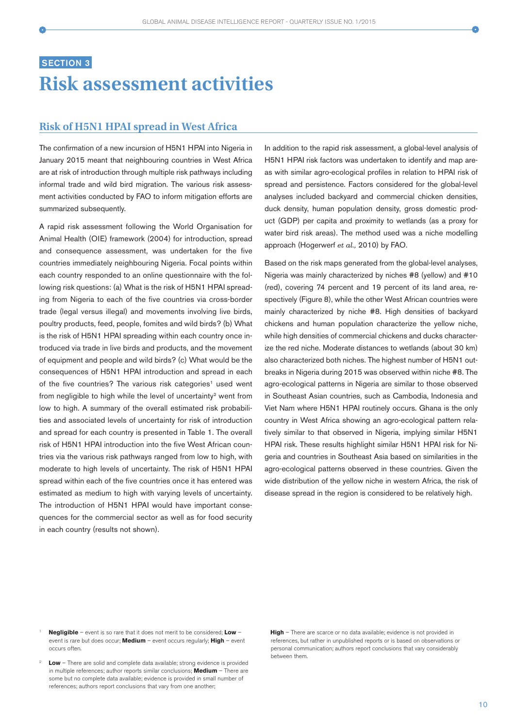# **SECTION 3 Risk assessment activities**

### **Risk of H5N1 HPAI spread in West Africa**

The confirmation of a new incursion of H5N1 HPAI into Nigeria in January 2015 meant that neighbouring countries in West Africa are at risk of introduction through multiple risk pathways including informal trade and wild bird migration. The various risk assessment activities conducted by FAO to inform mitigation efforts are summarized subsequently.

A rapid risk assessment following the World Organisation for Animal Health (OIE) framework (2004) for introduction, spread and consequence assessment, was undertaken for the five countries immediately neighbouring Nigeria. Focal points within each country responded to an online questionnaire with the following risk questions: (a) What is the risk of H5N1 HPAI spreading from Nigeria to each of the five countries via cross-border trade (legal versus illegal) and movements involving live birds, poultry products, feed, people, fomites and wild birds? (b) What is the risk of H5N1 HPAI spreading within each country once introduced via trade in live birds and products, and the movement of equipment and people and wild birds? (c) What would be the consequences of H5N1 HPAI introduction and spread in each of the five countries? The various risk categories<sup>1</sup> used went from negligible to high while the level of uncertainty<sup>2</sup> went from low to high. A summary of the overall estimated risk probabilities and associated levels of uncertainty for risk of introduction and spread for each country is presented in Table 1. The overall risk of H5N1 HPAI introduction into the five West African countries via the various risk pathways ranged from low to high, with moderate to high levels of uncertainty. The risk of H5N1 HPAI spread within each of the five countries once it has entered was estimated as medium to high with varying levels of uncertainty. The introduction of H5N1 HPAI would have important consequences for the commercial sector as well as for food security in each country (results not shown).

In addition to the rapid risk assessment, a global-level analysis of H5N1 HPAI risk factors was undertaken to identify and map areas with similar agro-ecological profiles in relation to HPAI risk of spread and persistence. Factors considered for the global-level analyses included backyard and commercial chicken densities, duck density, human population density, gross domestic product (GDP) per capita and proximity to wetlands (as a proxy for water bird risk areas). The method used was a niche modelling approach (Hogerwerf *et al.,* 2010) by FAO.

Based on the risk maps generated from the global-level analyses, Nigeria was mainly characterized by niches #8 (yellow) and #10 (red), covering 74 percent and 19 percent of its land area, respectively (Figure 8), while the other West African countries were mainly characterized by niche #8. High densities of backyard chickens and human population characterize the yellow niche, while high densities of commercial chickens and ducks characterize the red niche. Moderate distances to wetlands (about 30 km) also characterized both niches. The highest number of H5N1 outbreaks in Nigeria during 2015 was observed within niche #8. The agro-ecological patterns in Nigeria are similar to those observed in Southeast Asian countries, such as Cambodia, Indonesia and Viet Nam where H5N1 HPAI routinely occurs. Ghana is the only country in West Africa showing an agro-ecological pattern relatively similar to that observed in Nigeria, implying similar H5N1 HPAI risk. These results highlight similar H5N1 HPAI risk for Nigeria and countries in Southeast Asia based on similarities in the agro-ecological patterns observed in these countries. Given the wide distribution of the yellow niche in western Africa, the risk of disease spread in the region is considered to be relatively high.

- <sup>1</sup> **Negligible** event is so rare that it does not merit to be considered; **Low** event is rare but does occur; **Medium** – event occurs regularly; **High** – event occurs often.
- <sup>2</sup> **Low** There are solid and complete data available; strong evidence is provided in multiple references; author reports similar conclusions; **Medium** – There are some but no complete data available; evidence is provided in small number of references; authors report conclusions that vary from one another;

**High** – There are scarce or no data available; evidence is not provided in references, but rather in unpublished reports or is based on observations or personal communication; authors report conclusions that vary considerably between them.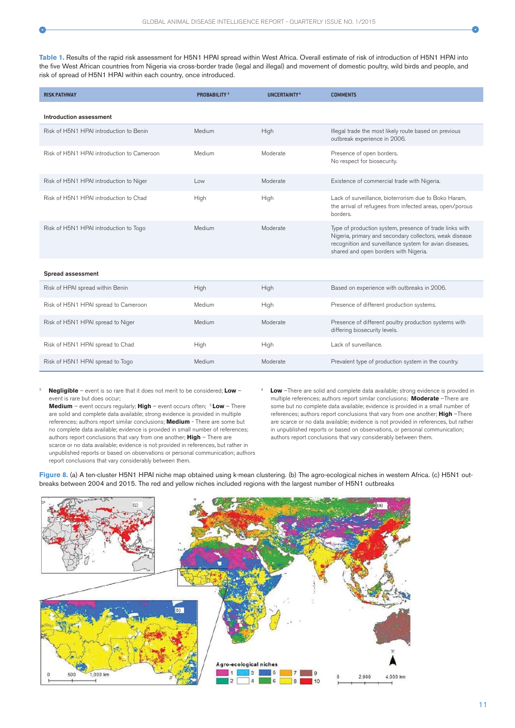**Table 1.** Results of the rapid risk assessment for H5N1 HPAI spread within West Africa. Overall estimate of risk of introduction of H5N1 HPAI into the five West African countries from Nigeria via cross-border trade (legal and illegal) and movement of domestic poultry, wild birds and people, and risk of spread of H5N1 HPAI within each country, once introduced.

| <b>RISK PATHWAY</b>                        | <b>PROBABILITY 3</b> | <b>UNCERTAINTY<sup>4</sup></b> | <b>COMMENTS</b>                                                                                                                                                                                                        |
|--------------------------------------------|----------------------|--------------------------------|------------------------------------------------------------------------------------------------------------------------------------------------------------------------------------------------------------------------|
| Introduction assessment                    |                      |                                |                                                                                                                                                                                                                        |
| Risk of H5N1 HPAI introduction to Benin    | Medium               | High                           | Illegal trade the most likely route based on previous<br>outbreak experience in 2006.                                                                                                                                  |
| Risk of H5N1 HPAI introduction to Cameroon | Medium               | Moderate                       | Presence of open borders.<br>No respect for biosecurity.                                                                                                                                                               |
| Risk of H5N1 HPAI introduction to Niger    | Low                  | Moderate                       | Existence of commercial trade with Nigeria.                                                                                                                                                                            |
| Risk of H5N1 HPAI introduction to Chad     | High                 | High                           | Lack of surveillance, bioterrorism due to Boko Haram,<br>the arrival of refugees from infected areas, open/porous<br>borders.                                                                                          |
| Risk of H5N1 HPAI introduction to Togo     | Medium               | Moderate                       | Type of production system, presence of trade links with<br>Nigeria, primary and secondary collectors, weak disease<br>recognition and surveillance system for avian diseases,<br>shared and open borders with Nigeria. |
| Spread assessment                          |                      |                                |                                                                                                                                                                                                                        |
| Risk of HPAI spread within Benin           | High                 | High                           | Based on experience with outbreaks in 2006.                                                                                                                                                                            |
| Risk of H5N1 HPAI spread to Cameroon       | Medium               | High                           | Presence of different production systems.                                                                                                                                                                              |
| Risk of H5N1 HPAI spread to Niger          | Medium               | Moderate                       | Presence of different poultry production systems with<br>differing biosecurity levels.                                                                                                                                 |
| Risk of H5N1 HPAI spread to Chad           | High                 | High                           | Lack of surveillance.                                                                                                                                                                                                  |
| Risk of H5N1 HPAI spread to Togo           | Medium               | Moderate                       | Prevalent type of production system in the country.                                                                                                                                                                    |

<sup>3</sup>**Negligible** – event is so rare that it does not merit to be considered; **Low** – event is rare but does occur;

**Medium** – event occurs regularly; **High** – event occurs often; 3 **Low** – There are solid and complete data available; strong evidence is provided in multiple references; authors report similar conclusions; **Medium** - There are some but no complete data available; evidence is provided in small number of references; authors report conclusions that vary from one another; **High** – There are scarce or no data available; evidence is not provided in references, but rather in unpublished reports or based on observations or personal communication; authors report conclusions that vary considerably between them.

**Low** -There are solid and complete data available; strong evidence is provided in multiple references; authors report similar conclusions; **Moderate** –There are some but no complete data available; evidence is provided in a small number of references; authors report conclusions that vary from one another; **High** –There are scarce or no data available; evidence is not provided in references, but rather in unpublished reports or based on observations, or personal communication; authors report conclusions that vary considerably between them.

Figure 8. (a) A ten-cluster H5N1 HPAI niche map obtained using k-mean clustering. (b) The agro-ecological niches in western Africa. (c) H5N1 outbreaks between 2004 and 2015. The red and yellow niches included regions with the largest number of H5N1 outbreaks

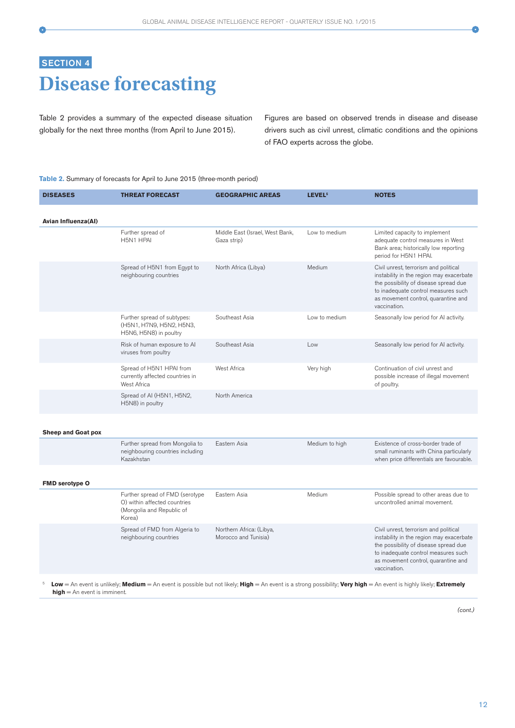# **SECTION 4 Disease forecasting**

Table 2 provides a summary of the expected disease situation globally for the next three months (from April to June 2015).

Figures are based on observed trends in disease and disease drivers such as civil unrest, climatic conditions and the opinions of FAO experts across the globe.

#### **Table 2.** Summary of forecasts for April to June 2015 (three-month period)

| <b>DISEASES</b>                                                                                                                                                     | <b>THREAT FORECAST</b>                                                                                 | <b>GEOGRAPHIC AREAS</b>                          | <b>LEVEL<sup>5</sup></b> | <b>NOTES</b>                                                                                                                                                                                                             |  |  |
|---------------------------------------------------------------------------------------------------------------------------------------------------------------------|--------------------------------------------------------------------------------------------------------|--------------------------------------------------|--------------------------|--------------------------------------------------------------------------------------------------------------------------------------------------------------------------------------------------------------------------|--|--|
| Avian Influenza(AI)                                                                                                                                                 |                                                                                                        |                                                  |                          |                                                                                                                                                                                                                          |  |  |
|                                                                                                                                                                     | Further spread of<br>H5N1 HPAI                                                                         | Middle East (Israel, West Bank,<br>Gaza strip)   | Low to medium            | Limited capacity to implement<br>adequate control measures in West<br>Bank area; historically low reporting<br>period for H5N1 HPAI.                                                                                     |  |  |
|                                                                                                                                                                     | Spread of H5N1 from Egypt to<br>neighbouring countries                                                 | North Africa (Libya)                             | Medium                   | Civil unrest, terrorism and political<br>instability in the region may exacerbate<br>the possibility of disease spread due<br>to inadequate control measures such<br>as movement control, quarantine and<br>vaccination. |  |  |
|                                                                                                                                                                     | Further spread of subtypes:<br>(H5N1, H7N9, H5N2, H5N3,<br>H5N6, H5N8) in poultry                      | Southeast Asia                                   | Low to medium            | Seasonally low period for AI activity.                                                                                                                                                                                   |  |  |
|                                                                                                                                                                     | Risk of human exposure to Al<br>viruses from poultry                                                   | Southeast Asia                                   | Low                      | Seasonally low period for AI activity.                                                                                                                                                                                   |  |  |
|                                                                                                                                                                     | Spread of H5N1 HPAI from<br>currently affected countries in<br>West Africa                             | West Africa                                      | Very high                | Continuation of civil unrest and<br>possible increase of illegal movement<br>of poultry.                                                                                                                                 |  |  |
|                                                                                                                                                                     | Spread of AI (H5N1, H5N2,<br>H5N8) in poultry                                                          | North America                                    |                          |                                                                                                                                                                                                                          |  |  |
| <b>Sheep and Goat pox</b>                                                                                                                                           |                                                                                                        |                                                  |                          |                                                                                                                                                                                                                          |  |  |
|                                                                                                                                                                     | Further spread from Mongolia to<br>neighbouring countries including<br>Kazakhstan                      | Eastern Asia                                     | Medium to high           | Existence of cross-border trade of<br>small ruminants with China particularly<br>when price differentials are favourable.                                                                                                |  |  |
| <b>FMD serotype O</b>                                                                                                                                               |                                                                                                        |                                                  |                          |                                                                                                                                                                                                                          |  |  |
|                                                                                                                                                                     | Further spread of FMD (serotype<br>O) within affected countries<br>(Mongolia and Republic of<br>Korea) | Eastern Asia                                     | Medium                   | Possible spread to other areas due to<br>uncontrolled animal movement.                                                                                                                                                   |  |  |
|                                                                                                                                                                     | Spread of FMD from Algeria to<br>neighbouring countries                                                | Northern Africa: (Libya,<br>Morocco and Tunisia) |                          | Civil unrest, terrorism and political<br>instability in the region may exacerbate<br>the possibility of disease spread due<br>to inadequate control measures such<br>as movement control, quarantine and<br>vaccination. |  |  |
| Low = An event is unlikely; Medium = An event is possible but not likely; High = An event is a strong possibility; Very high = An event is highly likely; Extremely |                                                                                                        |                                                  |                          |                                                                                                                                                                                                                          |  |  |

**high** = An event is imminent.

(cont.)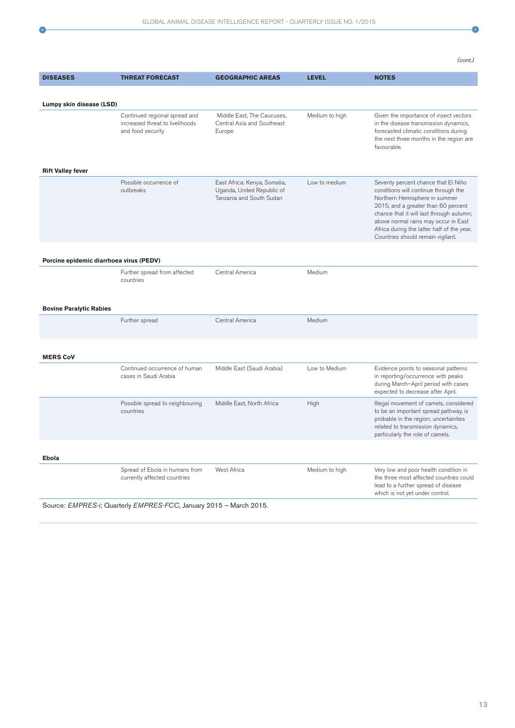$\bullet$ 

(cont.)

| Lumpy skin disease (LSD)<br>Continued regional spread and<br>Middle East, The Caucuses,<br>Medium to high<br>increased threat to livelihoods<br>Central Asia and Southeast<br>and food security<br>Europe<br>favourable.<br><b>Rift Valley fever</b><br>Possible occurrence of<br>East Africa: Kenya, Somalia,<br>Low to medium<br>outbreaks<br>Uganda, United Republic of<br>Tanzania and South Sudan<br>Northern Hemisphere in summer<br>Countries should remain vigilant.<br>Porcine epidemic diarrhoea virus (PEDV)<br>Further spread from affected<br>Central America<br>Medium<br>countries<br><b>Bovine Paralytic Rabies</b><br>Central America<br>Further spread<br>Medium<br><b>MERS CoV</b><br>Continued occurrence of human<br>Middle East (Saudi Arabia)<br>Low to Medium<br>cases in Saudi Arabia<br>expected to decrease after April.<br>Possible spread to neighbouring<br>Middle East, North Africa<br>High<br>countries<br>related to transmission dynamics, | <b>DISEASES</b> | <b>THREAT FORECAST</b> | <b>GEOGRAPHIC AREAS</b> | <b>LEVEL</b> | <b>NOTES</b>                                                                                                                                                                                                                                         |  |  |  |
|-------------------------------------------------------------------------------------------------------------------------------------------------------------------------------------------------------------------------------------------------------------------------------------------------------------------------------------------------------------------------------------------------------------------------------------------------------------------------------------------------------------------------------------------------------------------------------------------------------------------------------------------------------------------------------------------------------------------------------------------------------------------------------------------------------------------------------------------------------------------------------------------------------------------------------------------------------------------------------|-----------------|------------------------|-------------------------|--------------|------------------------------------------------------------------------------------------------------------------------------------------------------------------------------------------------------------------------------------------------------|--|--|--|
|                                                                                                                                                                                                                                                                                                                                                                                                                                                                                                                                                                                                                                                                                                                                                                                                                                                                                                                                                                               |                 |                        |                         |              |                                                                                                                                                                                                                                                      |  |  |  |
|                                                                                                                                                                                                                                                                                                                                                                                                                                                                                                                                                                                                                                                                                                                                                                                                                                                                                                                                                                               |                 |                        |                         |              | Given the importance of insect vectors<br>in the disease transmission dynamics,<br>forecasted climatic conditions during<br>the next three months in the region are                                                                                  |  |  |  |
|                                                                                                                                                                                                                                                                                                                                                                                                                                                                                                                                                                                                                                                                                                                                                                                                                                                                                                                                                                               |                 |                        |                         |              | Seventy percent chance that El Niño<br>conditions will continue through the<br>2015, and a greater than 60 percent<br>chance that it will last through autumn;<br>above normal rains may occur in East<br>Africa during the latter half of the year. |  |  |  |
|                                                                                                                                                                                                                                                                                                                                                                                                                                                                                                                                                                                                                                                                                                                                                                                                                                                                                                                                                                               |                 |                        |                         |              |                                                                                                                                                                                                                                                      |  |  |  |
|                                                                                                                                                                                                                                                                                                                                                                                                                                                                                                                                                                                                                                                                                                                                                                                                                                                                                                                                                                               |                 |                        |                         |              |                                                                                                                                                                                                                                                      |  |  |  |
|                                                                                                                                                                                                                                                                                                                                                                                                                                                                                                                                                                                                                                                                                                                                                                                                                                                                                                                                                                               |                 |                        |                         |              |                                                                                                                                                                                                                                                      |  |  |  |
|                                                                                                                                                                                                                                                                                                                                                                                                                                                                                                                                                                                                                                                                                                                                                                                                                                                                                                                                                                               |                 |                        |                         |              |                                                                                                                                                                                                                                                      |  |  |  |
|                                                                                                                                                                                                                                                                                                                                                                                                                                                                                                                                                                                                                                                                                                                                                                                                                                                                                                                                                                               |                 |                        |                         |              | Evidence points to seasonal patterns<br>in reporting/occurrence with peaks<br>during March-April period with cases                                                                                                                                   |  |  |  |
|                                                                                                                                                                                                                                                                                                                                                                                                                                                                                                                                                                                                                                                                                                                                                                                                                                                                                                                                                                               |                 |                        |                         |              | Illegal movement of camels, considered<br>to be an important spread pathway, is<br>probable in the region; uncertainties<br>particularly the role of camels.                                                                                         |  |  |  |
| Ebola                                                                                                                                                                                                                                                                                                                                                                                                                                                                                                                                                                                                                                                                                                                                                                                                                                                                                                                                                                         |                 |                        |                         |              |                                                                                                                                                                                                                                                      |  |  |  |
| Spread of Ebola in humans from<br>West Africa<br>Medium to high<br>currently affected countries<br>lead to a further spread of disease<br>which is not yet under control.                                                                                                                                                                                                                                                                                                                                                                                                                                                                                                                                                                                                                                                                                                                                                                                                     |                 |                        |                         |              | Very low and poor health condition in<br>the three most affected countries could                                                                                                                                                                     |  |  |  |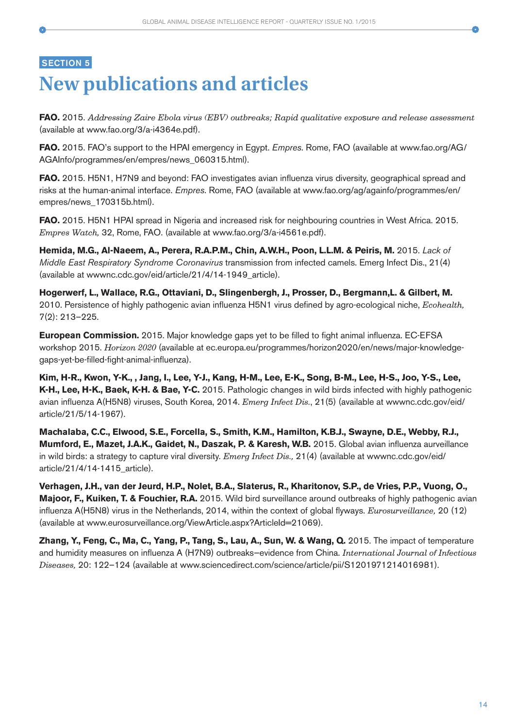## **SECTION 5**

# **New publications and articles**

**FAO.** 2015. *Addressing Zaire Ebola virus (EBV) outbreaks; Rapid qualitative expo*s*ure and release assessment*  (available at www.fao.org/3/a-i4364e.pdf).

**FAO.** 2015. FAO's support to the HPAI emergency in Egypt. Empres. Rome, FAO (available at www.fao.org/AG/ AGAInfo/programmes/en/empres/news\_060315.html).

**FAO.** 2015. H5N1, H7N9 and beyond: FAO investigates avian influenza virus diversity, geographical spread and risks at the human-animal interface. Empres. Rome, FAO (available at www.fao.org/ag/againfo/programmes/en/ empres/news\_170315b.html).

**FAO.** 2015. H5N1 HPAI spread in Nigeria and increased risk for neighbouring countries in West Africa. 2015. *Empres Watch,* 32, Rome, FAO. (available at www.fao.org/3/a-i4561e.pdf).

**Hemida, M.G., Al-Naeem, A., Perera, R.A.P.M., Chin, A.W.H., Poon, L.L.M. & Peiris, M.** 2015. Lack of Middle East Respiratory Syndrome Coronavirus transmission from infected camels. Emerg Infect Dis., 21(4) (available at wwwnc.cdc.gov/eid/article/21/4/14-1949\_article).

**Hogerwerf, L., Wallace, R.G., Ottaviani, D., Slingenbergh, J., Prosser, D., Bergmann,L. & Gilbert, M.** 2010. Persistence of highly pathogenic avian influenza H5N1 virus defined by agro-ecological niche, *Ecohealth,* 7(2): 213–225.

**European Commission.** 2015. Major knowledge gaps yet to be filled to fight animal influenza. EC-EFSA workshop 2015. *Horizon 2020* (available at ec.europa.eu/programmes/horizon2020/en/news/major-knowledgegaps-yet-be-filled-fight-animal-influenza).

**Kim, H-R., Kwon, Y-K., , Jang, I., Lee, Y-J., Kang, H-M., Lee, E-K., Song, B-M., Lee, H-S., Joo, Y-S., Lee, K-H., Lee, H-K., Baek, K-H. & Bae, Y-C.** 2015. Pathologic changes in wild birds infected with highly pathogenic avian influenza A(H5N8) viruses, South Korea, 2014. *Emerg Infect Dis.*, 21(5) (available at wwwnc.cdc.gov/eid/ article/21/5/14-1967).

**Machalaba, C.C., Elwood, S.E., Forcella, S., Smith, K.M., Hamilton, K.B.J., Swayne, D.E., Webby, R.J., Mumford, E., Mazet, J.A.K., Gaidet, N., Daszak, P. & Karesh, W.B.** 2015. Global avian influenza aurveillance in wild birds: a strategy to capture viral diversity. *Emerg Infect Dis.,* 21(4) (available at wwwnc.cdc.gov/eid/ article/21/4/14-1415\_article).

**Verhagen, J.H., van der Jeurd, H.P., Nolet, B.A., Slaterus, R., Kharitonov, S.P., de Vries, P.P., Vuong, O., Majoor, F., Kuiken, T. & Fouchier, R.A.** 2015. Wild bird surveillance around outbreaks of highly pathogenic avian influenza A(H5N8) virus in the Netherlands, 2014, within the context of global flyways. *Eurosurveillance,* 20 (12) (available at www.eurosurveillance.org/ViewArticle.aspx?ArticleId=21069).

**Zhang, Y., Feng, C., Ma, C., Yang, P., Tang, S., Lau, A., Sun, W. & Wang, Q.** 2015. The impact of temperature and humidity measures on influenza A (H7N9) outbreaks—evidence from China. *International Journal of Infectious Diseases,* 20: 122–124 (available at www.sciencedirect.com/science/article/pii/S1201971214016981).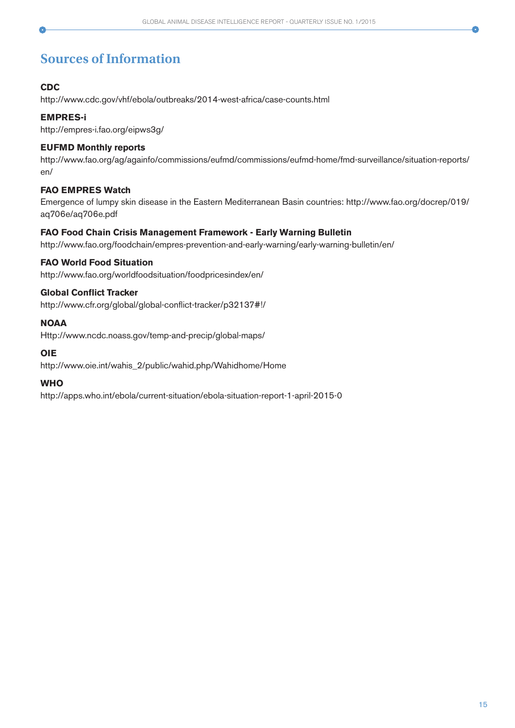# **Sources of Information**

### **CDC**

http://www.cdc.gov/vhf/ebola/outbreaks/2014-west-africa/case-counts.html

### **EMPRES-i**

http://empres-i.fao.org/eipws3g/

### **EUFMD Monthly reports**

http://www.fao.org/ag/againfo/commissions/eufmd/commissions/eufmd-home/fmd-surveillance/situation-reports/ en/

### **FAO EMPRES Watch**

Emergence of lumpy skin disease in the Eastern Mediterranean Basin countries: http://www.fao.org/docrep/019/ aq706e/aq706e.pdf

### **FAO Food Chain Crisis Management Framework - Early Warning Bulletin**

http://www.fao.org/foodchain/empres-prevention-and-early-warning/early-warning-bulletin/en/

### **FAO World Food Situation**

http://www.fao.org/worldfoodsituation/foodpricesindex/en/

### **Global Conflict Tracker**

http://www.cfr.org/global/global-conflict-tracker/p32137#!/

### **NOAA**

Http://www.ncdc.noass.gov/temp-and-precip/global-maps/

### **OIE**

http://www.oie.int/wahis\_2/public/wahid.php/Wahidhome/Home

### **WHO**

http://apps.who.int/ebola/current-situation/ebola-situation-report-1-april-2015-0